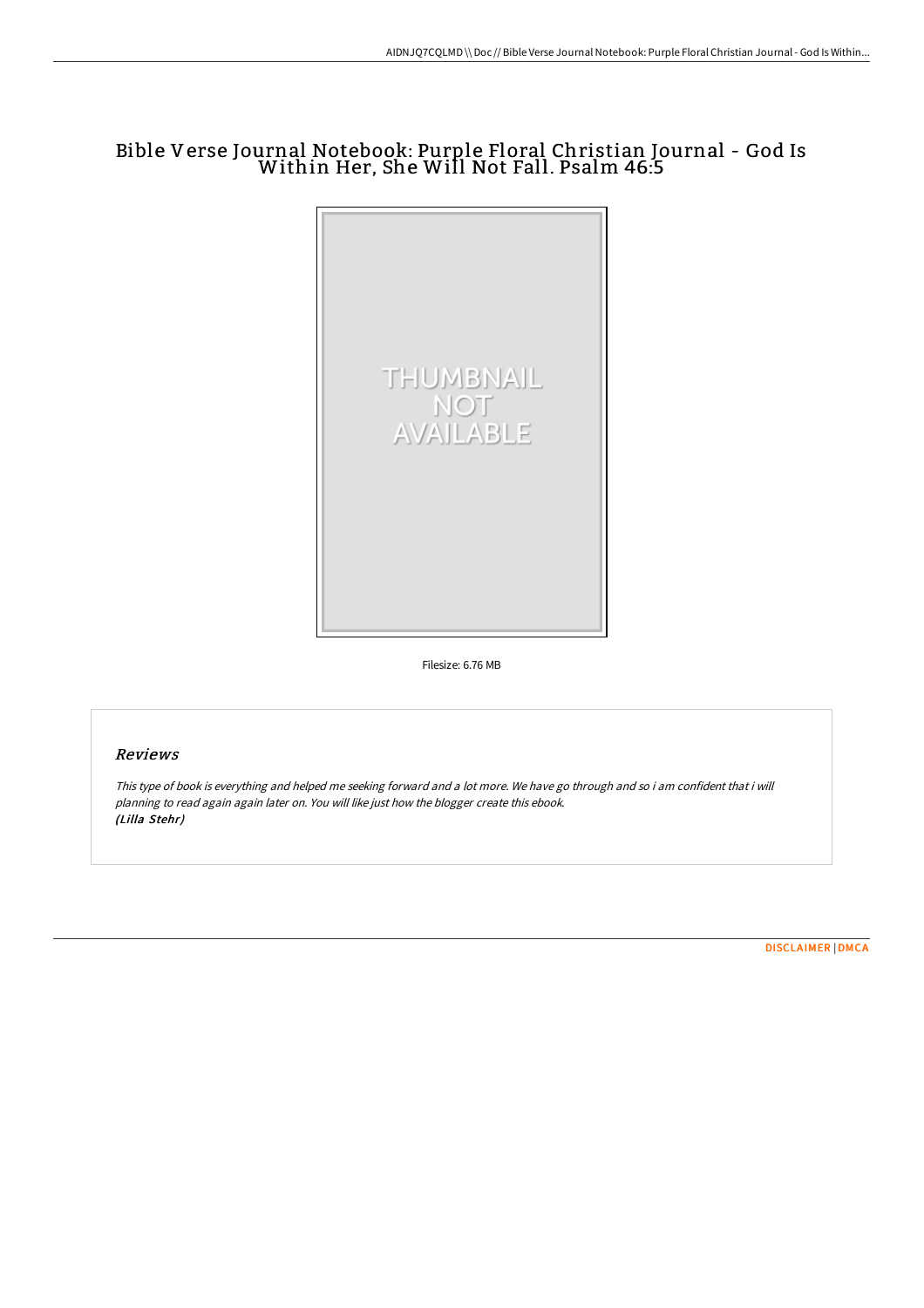# Bible Verse Journal Notebook: Purple Floral Christian Journal - God Is Within Her, She Will Not Fall. Psalm 46:5



Filesize: 6.76 MB

## Reviews

This type of book is everything and helped me seeking forward and <sup>a</sup> lot more. We have go through and so i am confident that i will planning to read again again later on. You will like just how the blogger create this ebook. (Lilla Stehr)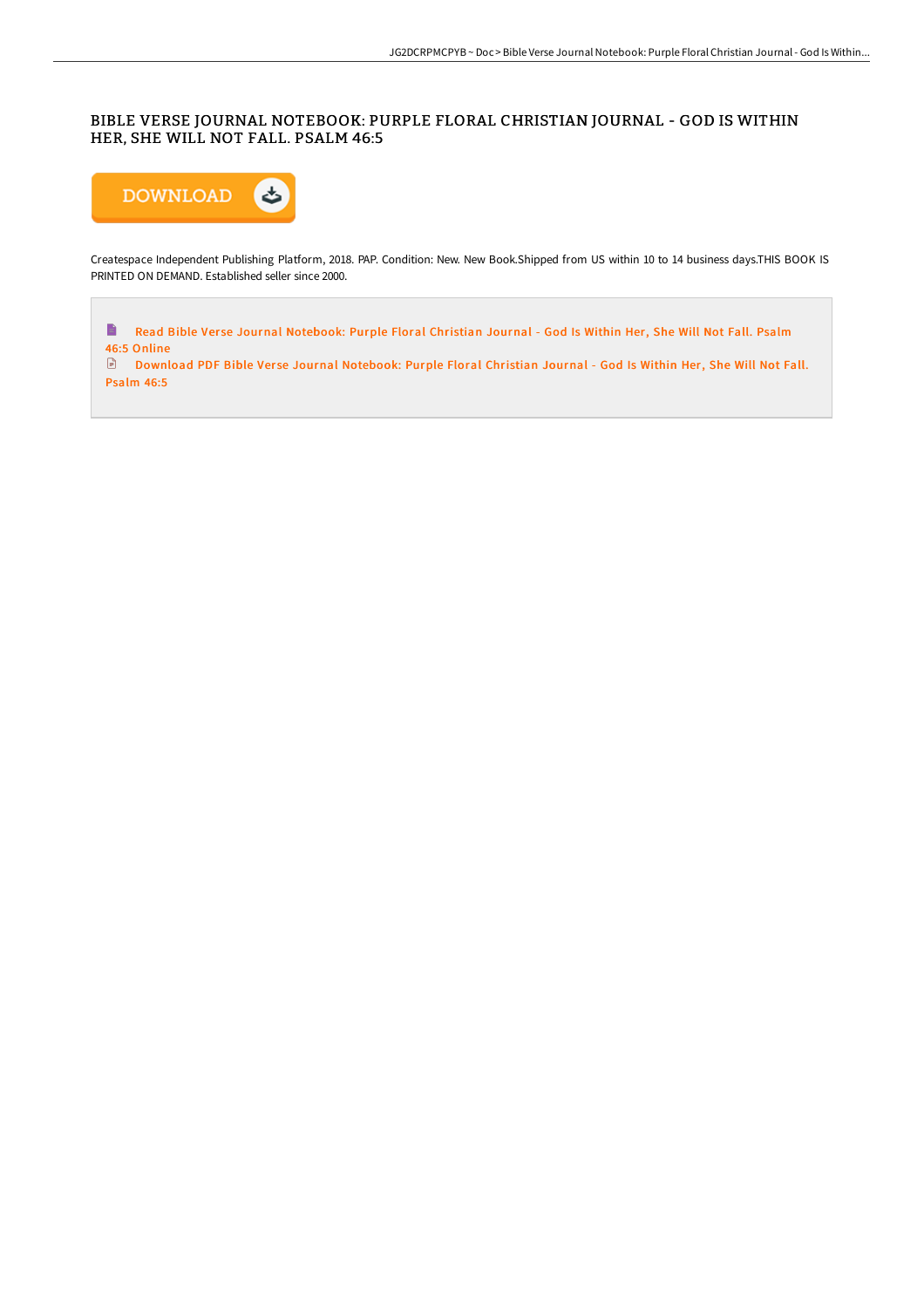#### BIBLE VERSE JOURNAL NOTEBOOK: PURPLE FLORAL CHRISTIAN JOURNAL - GOD IS WITHIN HER, SHE WILL NOT FALL. PSALM 46:5



Createspace Independent Publishing Platform, 2018. PAP. Condition: New. New Book.Shipped from US within 10 to 14 business days.THIS BOOK IS PRINTED ON DEMAND. Established seller since 2000.

 $\blacksquare$ Read Bible Verse Journal [Notebook:](http://techno-pub.tech/bible-verse-journal-notebook-purple-floral-chris.html) Purple Floral Christian Journal - God Is Within Her, She Will Not Fall. Psalm 46:5 Online<br> **B** Downl

Download PDF Bible Ver se Journal [Notebook:](http://techno-pub.tech/bible-verse-journal-notebook-purple-floral-chris.html) Purple Floral Christian Journal - God Is Within Her, She Will Not Fall. Psalm 46:5